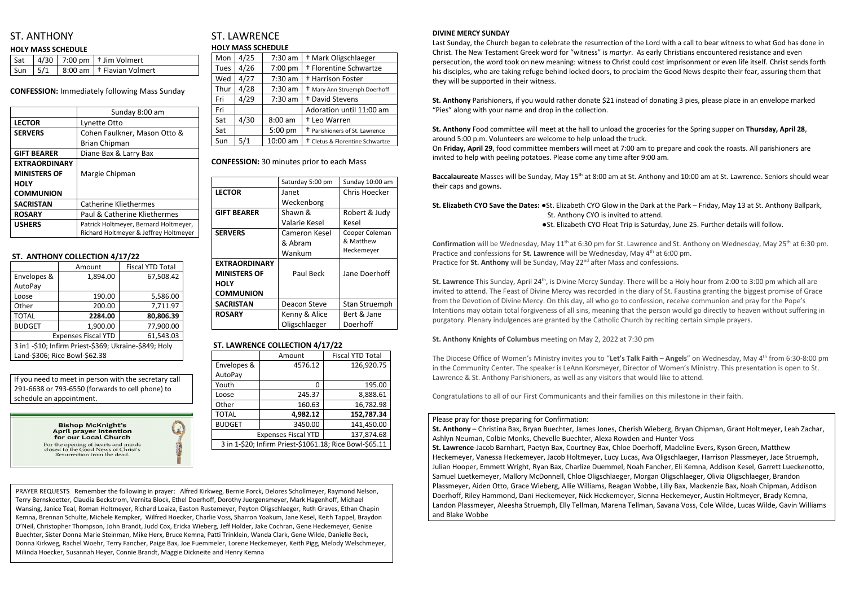# ST. ANTHONY

#### **HOLY MASS SCHEDULE**

|  | $\vert$ Sat $\vert$ 4/30 $\vert$ 7:00 pm $\vert$ † Jim Volmert    |
|--|-------------------------------------------------------------------|
|  | $\vert$ Sun $\vert$ 5/1 $\vert$ 8:00 am $\vert$ † Flavian Volmert |

**CONFESSION:** Immediately following Mass Sunday

|                      | Sunday 8:00 am                        |  |
|----------------------|---------------------------------------|--|
| <b>LECTOR</b>        | Lynette Otto                          |  |
| <b>SERVERS</b>       | Cohen Faulkner, Mason Otto &          |  |
|                      | <b>Brian Chipman</b>                  |  |
| <b>GIFT BEARER</b>   | Diane Bax & Larry Bax                 |  |
| <b>EXTRAORDINARY</b> |                                       |  |
| <b>MINISTERS OF</b>  | Margie Chipman                        |  |
| <b>HOLY</b>          |                                       |  |
| <b>COMMUNION</b>     |                                       |  |
| <b>SACRISTAN</b>     | <b>Catherine Kliethermes</b>          |  |
| <b>ROSARY</b>        | Paul & Catherine Kliethermes          |  |
| <b>USHERS</b>        | Patrick Holtmeyer, Bernard Holtmeyer, |  |
|                      | Richard Holtmeyer & Jeffrey Holtmeyer |  |

#### **ST. ANTHONY COLLECTION 4/17/22**

|                                                       | Amount   | <b>Fiscal YTD Total</b> |  |
|-------------------------------------------------------|----------|-------------------------|--|
| Envelopes &                                           | 1,894.00 | 67,508.42               |  |
| AutoPay                                               |          |                         |  |
| Loose                                                 | 190.00   | 5,586.00                |  |
| Other                                                 | 200.00   | 7,711.97                |  |
| <b>TOTAL</b>                                          | 2284.00  | 80,806.39               |  |
| <b>BUDGET</b>                                         | 1,900.00 | 77,900.00               |  |
| <b>Expenses Fiscal YTD</b><br>61,543.03               |          |                         |  |
| 3 in1 -\$10; Infirm Priest-\$369; Ukraine-\$849; Holy |          |                         |  |
| Land-\$306; Rice Bowl-\$62.38                         |          |                         |  |

# ST. LAWRENCE **HOLY MASS SCHEDULE**

| Mon  | 4/25 | $7:30$ am | <sup>†</sup> Mark Oligschlaeger            |
|------|------|-----------|--------------------------------------------|
| Tues | 4/26 | 7:00 pm   | † Florentine Schwartze                     |
| Wed  | 4/27 | 7:30 am   | † Harrison Foster                          |
| Thur | 4/28 | $7:30$ am | <sup>†</sup> Mary Ann Struemph Doerhoff    |
| Fri  | 4/29 | $7:30$ am | <sup>†</sup> David Stevens                 |
| Fri  |      |           | Adoration until 11:00 am                   |
| Sat  | 4/30 | $8:00$ am | <sup>†</sup> Leo Warren                    |
| Sat  |      | 5:00 pm   | <sup>†</sup> Parishioners of St. Lawrence  |
| Sun  | 5/1  | 10:00 am  | <sup>†</sup> Cletus & Florentine Schwartze |

#### **CONFESSION:** 30 minutes prior to each Mass

|                      | Saturday 5:00 pm | Sunday 10:00 am |
|----------------------|------------------|-----------------|
| <b>LECTOR</b>        | Janet            | Chris Hoecker   |
|                      | Weckenborg       |                 |
| <b>GIFT BEARER</b>   | Shawn &          | Robert & Judy   |
|                      | Valarie Kesel    | Kesel           |
| <b>SERVERS</b>       | Cameron Kesel    | Cooper Coleman  |
|                      | & Abram          | & Matthew       |
|                      | Wankum           | Heckemeyer      |
| <b>EXTRAORDINARY</b> |                  |                 |
| <b>MINISTERS OF</b>  | Paul Beck        | Jane Doerhoff   |
| <b>HOLY</b>          |                  |                 |
| <b>COMMUNION</b>     |                  |                 |
| <b>SACRISTAN</b>     | Deacon Steve     | Stan Struemph   |
| <b>ROSARY</b>        | Kenny & Alice    | Bert & Jane     |
|                      | Oligschlaeger    | Doerhoff        |

### **ST. LAWRENCE COLLECTION 4/17/22**

|                                                         | Amount   | <b>Fiscal YTD Total</b> |
|---------------------------------------------------------|----------|-------------------------|
| Envelopes &                                             | 4576.12  | 126,920.75              |
| AutoPay                                                 |          |                         |
| Youth                                                   | O        | 195.00                  |
| Loose                                                   | 245.37   | 8,888.61                |
| Other                                                   | 160.63   | 16,782.98               |
| <b>TOTAL</b>                                            | 4,982.12 | 152,787.34              |
| <b>BUDGET</b>                                           | 3450.00  | 141,450.00              |
| 137,874.68<br><b>Expenses Fiscal YTD</b>                |          |                         |
| 3 in 1-\$20; Infirm Priest-\$1061.18; Rice Bowl-\$65.11 |          |                         |

#### **DIVINE MERCY SUNDAY**

**St. Lawrence** This Sunday, April 24<sup>th</sup>, is Divine Mercy Sunday. There will be a Holy hour from 2:00 to 3:00 pm which all are invited to attend. The Feast of Divine Mercy was recorded in the diary of St. Faustina granting the biggest promise of Grace from the Devotion of Divine Mercy. On this day, all who go to confession, receive communion and pray for the Pope's Intentions may obtain total forgiveness of all sins, meaning that the person would go directly to heaven without suffering in purgatory. Plenary indulgences are granted by the Catholic Church by reciting certain simple prayers.

Last Sunday, the Church began to celebrate the resurrection of the Lord with a call to bear witness to what God has done in Christ. The New Testament Greek word for "witness" is *martyr*. As early Christians encountered resistance and even persecution, the word took on new meaning: witness to Christ could cost imprisonment or even life itself. Christ sends forth his disciples, who are taking refuge behind locked doors, to proclaim the Good News despite their fear, assuring them that they will be supported in their witness.

The Diocese Office of Women's Ministry invites you to "Let's Talk Faith - Angels" on Wednesday, May 4<sup>th</sup> from 6:30-8:00 pm in the Community Center. The speaker is LeAnn Korsmeyer, Director of Women's Ministry. This presentation is open to St. Lawrence & St. Anthony Parishioners, as well as any visitors that would like to attend.

**St. Anthony** Parishioners, if you would rather donate \$21 instead of donating 3 pies, please place in an envelope marked "Pies" along with your name and drop in the collection.

**St. Anthony** Food committee will meet at the hall to unload the groceries for the Spring supper on **Thursday, April 28**, around 5:00 p.m. Volunteers are welcome to help unload the truck. On **Friday, April 29**, food committee members will meet at 7:00 am to prepare and cook the roasts. All parishioners are invited to help with peeling potatoes. Please come any time after 9:00 am.

**Baccalaureate** Masses will be Sunday, May 15th at 8:00 am at St. Anthony and 10:00 am at St. Lawrence. Seniors should wear their caps and gowns.

**St. Elizabeth CYO Save the Dates:** ●St. Elizabeth CYO Glow in the Dark at the Park – Friday, May 13 at St. Anthony Ballpark, St. Anthony CYO is invited to attend.

●St. Elizabeth CYO Float Trip is Saturday, June 25. Further details will follow.

Confirmation will be Wednesday, May 11<sup>th</sup> at 6:30 pm for St. Lawrence and St. Anthony on Wednesday, May 25<sup>th</sup> at 6:30 pm. Practice and confessions for **St. Lawrence** will be Wednesday, May 4<sup>th</sup> at 6:00 pm. Practice for **St. Anthony** will be Sunday, May 22<sup>nd</sup> after Mass and confessions.

**St. Anthony Knights of Columbus** meeting on May 2, 2022 at 7:30 pm

Congratulations to all of our First Communicants and their families on this milestone in their faith.

#### Please pray for those preparing for Confirmation:

**St. Anthony** – Christina Bax, Bryan Buechter, James Jones, Cherish Wieberg, Bryan Chipman, Grant Holtmeyer, Leah Zachar, Ashlyn Neuman, Colbie Monks, Chevelle Buechter, Alexa Rowden and Hunter Voss **St. Lawrence**-Jacob Barnhart, Paetyn Bax, Courtney Bax, Chloe Doerhoff, Madeline Evers, Kyson Green, Matthew Heckemeyer, Vanessa Heckemeyer, Jacob Holtmeyer, Lucy Lucas, Ava Oligschlaeger, Harrison Plassmeyer, Jace Struemph, Julian Hooper, Emmett Wright, Ryan Bax, Charlize Duemmel, Noah Fancher, Eli Kemna, Addison Kesel, Garrett Lueckenotto, Samuel Luetkemeyer, Mallory McDonnell, Chloe Oligschlaeger, Morgan Oligschlaeger, Olivia Oligschlaeger, Brandon Plassmeyer, Aiden Otto, Grace Wieberg, Allie Williams, Reagan Wobbe, Lilly Bax, Mackenzie Bax, Noah Chipman, Addison Doerhoff, Riley Hammond, Dani Heckemeyer, Nick Heckemeyer, Sienna Heckemeyer, Austin Holtmeyer, Brady Kemna, Landon Plassmeyer, Aleesha Struemph, Elly Tellman, Marena Tellman, Savana Voss, Cole Wilde, Lucas Wilde, Gavin Williams and Blake Wobbe

If you need to meet in person with the secretary call 291-6638 or 793-6550 (forwards to cell phone) to schedule an appointment.



PRAYER REQUESTS Remember the following in prayer: Alfred Kirkweg, Bernie Forck, Delores Schollmeyer, Raymond Nelson, Terry Bernskoetter, Claudia Beckstrom, Vernita Block, Ethel Doerhoff, Dorothy Juergensmeyer, Mark Hagenhoff, Michael Wansing, Janice Teal, Roman Holtmeyer, Richard Loaiza, Easton Rustemeyer, Peyton Oligschlaeger, Ruth Graves, Ethan Chapin Kemna, Brennan Schulte, Michele Kempker, Wilfred Hoecker, Charlie Voss, Sharron Yoakum, Jane Kesel, Keith Tappel, Braydon O'Neil, Christopher Thompson, John Brandt, Judd Cox, Ericka Wieberg, Jeff Holder, Jake Cochran, Gene Heckemeyer, Genise Buechter, Sister Donna Marie Steinman, Mike Herx, Bruce Kemna, Patti Trinklein, Wanda Clark, Gene Wilde, Danielle Beck, Donna Kirkweg, Rachel Woehr, Terry Fancher, Paige Bax, Joe Fuemmeler, Lorene Heckemeyer, Keith Pigg, Melody Welschmeyer, Milinda Hoecker, Susannah Heyer, Connie Brandt, Maggie Dickneite and Henry Kemna